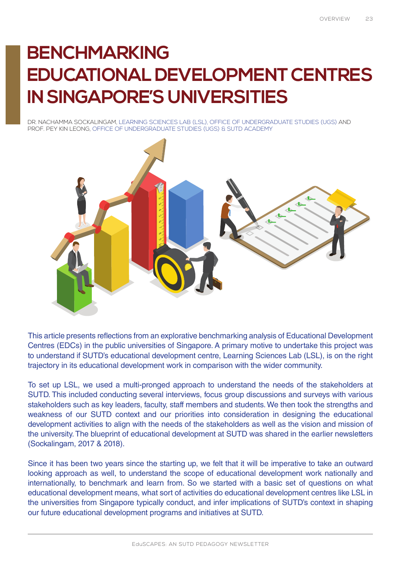# **BENCHMARKING EDUCATIONAL DEVELOPMENT CENTRES IN SINGAPORE'S UNIVERSITIES**

DR. NACHAMMA SOCKALINGAM, LEARNING SCIENCES LAB (LSL), OFFICE OF UNDERGRADUATE STUDIES (UGS) AND PROF. PEY KIN LEONG, OFFICE OF UNDERGRADUATE STUDIES (UGS) & SUTD ACADEMY



This article presents reflections from an explorative benchmarking analysis of Educational Development Centres (EDCs) in the public universities of Singapore. A primary motive to undertake this project was to understand if SUTD's educational development centre, Learning Sciences Lab (LSL), is on the right trajectory in its educational development work in comparison with the wider community.

To set up LSL, we used a multi-pronged approach to understand the needs of the stakeholders at SUTD. This included conducting several interviews, focus group discussions and surveys with various stakeholders such as key leaders, faculty, staff members and students. We then took the strengths and weakness of our SUTD context and our priorities into consideration in designing the educational development activities to align with the needs of the stakeholders as well as the vision and mission of the university. The blueprint of educational development at SUTD was shared in the earlier newsletters (Sockalingam, 2017 & 2018).

Since it has been two years since the starting up, we felt that it will be imperative to take an outward looking approach as well, to understand the scope of educational development work nationally and internationally, to benchmark and learn from. So we started with a basic set of questions on what educational development means, what sort of activities do educational development centres like LSL in the universities from Singapore typically conduct, and infer implications of SUTD's context in shaping our future educational development programs and initiatives at SUTD.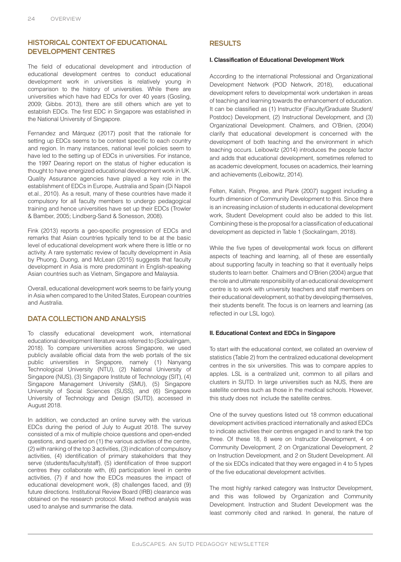# **HISTORICAL CONTEXT OF EDUCATIONAL DEVELOPMENT CENTRES**

The field of educational development and introduction of educational development centres to conduct educational development work in universities is relatively young in comparison to the history of universities. While there are universities which have had EDCs for over 40 years (Gosling, 2009; Gibbs. 2013), there are still others which are yet to establish EDCs. The first EDC in Singapore was established in the National University of Singapore.

Fernandez and Márquez (2017) posit that the rationale for setting up EDCs seems to be context specific to each country and region. In many instances, national level policies seem to have led to the setting up of EDCs in universities. For instance, the 1997 Dearing report on the status of higher education is thought to have energized educational development work in UK. Quality Assurance agencies have played a key role in the establishment of EDCs in Europe, Australia and Spain (Di Napoli et.al., 2010). As a result, many of these countries have made it compulsory for all faculty members to undergo pedagogical training and hence universities have set up their EDCs (Trowler & Bamber, 2005; Lindberg-Sand & Sonesson, 2008).

Fink (2013) reports a geo-specific progression of EDCs and remarks that Asian countries typically tend to be at the basic level of educational development work where there is little or no activity. A rare systematic review of faculty development in Asia by Phuong, Duong, and McLean (2015) suggests that faculty development in Asia is more predominant in English-speaking Asian countries such as Vietnam, Singapore and Malaysia.

Overall, educational development work seems to be fairly young in Asia when compared to the United States, European countries and Australia.

# **DATA COLLECTION AND ANALYSIS**

To classify educational development work, international educational development literature was referred to (Sockalingam, 2018). To compare universities across Singapore, we used publicly available official data from the web portals of the six public universities in Singapore, namely (1) Nanyang Technological University (NTU), (2) National University of Singapore (NUS), (3) Singapore Institute of Technology (SIT), (4) Singapore Management University (SMU), (5) Singapore University of Social Sciences (SUSS), and (6) Singapore University of Technology and Design (SUTD), accessed in August 2018.

In addition, we conducted an online survey with the various EDCs during the period of July to August 2018. The survey consisted of a mix of multiple choice questions and open-ended questions, and queried on (1) the various activities of the centre, (2) with ranking of the top 3 activities, (3) indication of compulsory activities, (4) identification of primary stakeholders that they serve (students/faculty/staff), (5) identification of three support centres they collaborate with, (6) participation level in centre activities, (7) if and how the EDCs measures the impact of educational development work, (8) challenges faced, and (9) future directions. Institutional Review Board (IRB) clearance was obtained on the research protocol. Mixed method analysis was used to analyse and summarise the data.

# **RESULTS**

## **I. Classification of Educational Development Work**

According to the international Professional and Organizational Development Network (POD Network, 2018), educational development refers to developmental work undertaken in areas of teaching and learning towards the enhancement of education. It can be classified as (1) Instructor (Faculty/Graduate Student/ Postdoc) Development, (2) Instructional Development, and (3) Organizational Development. Chalmers, and O'Brien, (2004) clarify that educational development is concerned with the development of both teaching and the environment in which teaching occurs. Leibowitz (2014) introduces the people factor and adds that educational development, sometimes referred to as academic development, focuses on academics, their learning and achievements (Leibowitz, 2014).

Felten, Kalish, Pingree, and Plank (2007) suggest including a fourth dimension of Community Development to this. Since there is an increasing inclusion of students in educational development work, Student Development could also be added to this list. Combining these is the proposal for a classification of educational development as depicted in Table 1 (Sockalingam, 2018).

While the five types of developmental work focus on different aspects of teaching and learning, all of these are essentially about supporting faculty in teaching so that it eventually helps students to learn better. Chalmers and O'Brien (2004) argue that the role and ultimate responsibility of an educational development centre is to work with university teachers and staff members on their educational development, so that by developing themselves, their students benefit. The focus is on learners and learning (as reflected in our LSL logo).

## **II. Educational Context and EDCs in Singapore**

To start with the educational context, we collated an overview of statistics (Table 2) from the centralized educational development centres in the six universities. This was to compare apples to apples. LSL is a centralized unit, common to all pillars and clusters in SUTD. In large universities such as NUS, there are satellite centres such as those in the medical schools. However, this study does not include the satellite centres.

One of the survey questions listed out 18 common educational development activities practiced internationally and asked EDCs to indicate activities their centres engaged in and to rank the top three. Of these 18, 8 were on Instructor Development, 4 on Community Development, 2 on Organizational Development, 2 on Instruction Development, and 2 on Student Development. All of the six EDCs indicated that they were engaged in 4 to 5 types of the five educational development activities.

The most highly ranked category was Instructor Development, and this was followed by Organization and Community Development. Instruction and Student Development was the least commonly cited and ranked. In general, the nature of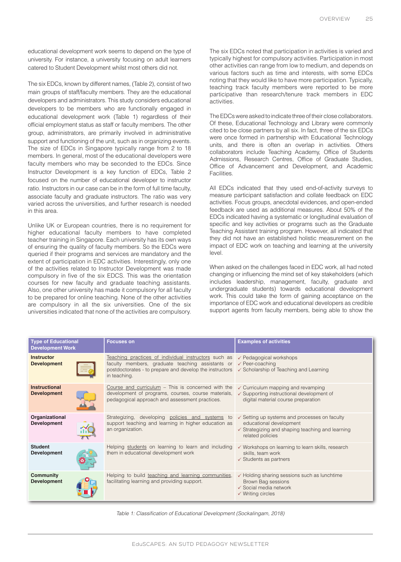educational development work seems to depend on the type of university. For instance, a university focusing on adult learners catered to Student Development whilst most others did not.

The six EDCs, known by different names, (Table 2), consist of two main groups of staff/faculty members. They are the educational developers and administrators. This study considers educational developers to be members who are functionally engaged in educational development work (Table 1) regardless of their official employment status as staff or faculty members. The other group, administrators, are primarily involved in administrative support and functioning of the unit, such as in organizing events. The size of EDCs in Singapore typically range from 2 to 18 members. In general, most of the educational developers were faculty members who may be seconded to the EDCs. Since Instructor Development is a key function of EDCs, Table 2 focused on the number of educational developer to instructor ratio. Instructors in our case can be in the form of full time faculty, associate faculty and graduate instructors. The ratio was very varied across the universities, and further research is needed in this area.

Unlike UK or European countries, there is no requirement for higher educational faculty members to have completed teacher training in Singapore. Each university has its own ways of ensuring the quality of faculty members. So the EDCs were queried if their programs and services are mandatory and the extent of participation in EDC activities. Interestingly, only one of the activities related to Instructor Development was made compulsory in five of the six EDCS. This was the orientation courses for new faculty and graduate teaching assistants. Also, one other university has made it compulsory for all faculty to be prepared for online teaching. None of the other activities are compulsory in all the six universities. One of the six universities indicated that none of the activities are compulsory. The six EDCs noted that participation in activities is varied and typically highest for compulsory activities. Participation in most other activities can range from low to medium, and depends on various factors such as time and interests, with some EDCs noting that they would like to have more participation. Typically, teaching track faculty members were reported to be more participative than research/tenure track members in EDC activities.

The EDCs were asked to indicate three of their close collaborators. Of these, Educational Technology and Library were commonly cited to be close partners by all six. In fact, three of the six EDCs were once formed in partnership with Educational Technology units, and there is often an overlap in activities. Others collaborators include Teaching Academy, Office of Students Admissions, Research Centres, Office of Graduate Studies, Office of Advancement and Development, and Academic **Facilities** 

All EDCs indicated that they used end-of-activity surveys to measure participant satisfaction and collate feedback on EDC activities. Focus groups, anecdotal evidences, and open-ended feedback are used as additional measures. About 50% of the EDCs indicated having a systematic or longitudinal evaluation of specific and key activities or programs such as the Graduate Teaching Assistant training program. However, all indicated that they did not have an established holistic measurement on the impact of EDC work on teaching and learning at the university level.

When asked on the challenges faced in EDC work, all had noted changing or influencing the mind set of key stakeholders (which includes leadership, management, faculty, graduate and undergraduate students) towards educational development work. This could take the form of gaining acceptance on the importance of EDC work and educational developers as credible support agents from faculty members, being able to show the

| <b>Type of Educational</b><br><b>Development Work</b> | <b>Focuses on</b>                                                                                                                                                                                                     | <b>Examples of activities</b>                                                                                                                                          |
|-------------------------------------------------------|-----------------------------------------------------------------------------------------------------------------------------------------------------------------------------------------------------------------------|------------------------------------------------------------------------------------------------------------------------------------------------------------------------|
| <b>Instructor</b><br><b>Development</b>               | Teaching practices of individual instructors such as<br>faculty members, graduate teaching assistants or<br>postdoctorates - to prepare and develop the instructors<br>in teaching.                                   | ✓ Pedagogical workshops<br>$\checkmark$ Peer-coaching<br>$\checkmark$ Scholarship of Teaching and Learning                                                             |
| <b>Instructional</b><br><b>Development</b>            | Course and curriculum $-$ This is concerned with the<br>development of programs, courses, course materials,<br>pedagogical approach and assessment practices.                                                         | $\checkmark$ Curriculum mapping and revamping<br>$\checkmark$ Supporting instructional development of<br>digital material course preparation                           |
| Organizational<br><b>Development</b>                  | Strategizing, developing policies and systems to<br>support teaching and learning in higher education as<br>an organization.                                                                                          | $\checkmark$ Setting up systems and processes on faculty<br>educational development<br>$\checkmark$ Strategizing and shaping teaching and learning<br>related policies |
| <b>Student</b><br><b>Development</b>                  | Helping students on learning to learn and including<br>$\checkmark$ Workshops on learning to learn skills, research<br>them in educational development work<br>skills, team work<br>$\checkmark$ Students as partners |                                                                                                                                                                        |
| <b>Community</b><br><b>Development</b>                | Helping to build teaching and learning communities,<br>facilitating learning and providing support.                                                                                                                   | ✓ Holding sharing sessions such as lunchtime<br>Brown Bag sessions<br>✓ Social media network<br>$\checkmark$ Writing circles                                           |

Table 1: Classification of Educational Development (Sockalingam, 2018)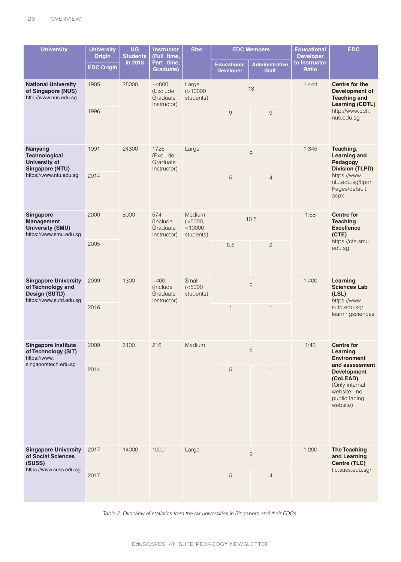| <b>University</b>                                                                            | <b>University</b><br><b>Origin</b> | <b>UG</b><br><b>Students</b> | <b>Instructor</b><br>(Full time,<br>Part time,<br>Graduate) | <b>Size</b>                                  | <b>EDC Members</b>                     |                                       | <b>Educational</b><br><b>Developer</b>                                                                          | <b>EDC</b>                                                                        |
|----------------------------------------------------------------------------------------------|------------------------------------|------------------------------|-------------------------------------------------------------|----------------------------------------------|----------------------------------------|---------------------------------------|-----------------------------------------------------------------------------------------------------------------|-----------------------------------------------------------------------------------|
|                                                                                              | <b>EDC Origin</b>                  | in 2018                      |                                                             |                                              | <b>Educational</b><br><b>Developer</b> | <b>Administrative</b><br><b>Staff</b> | to Instructor<br><b>Ratio</b>                                                                                   |                                                                                   |
| <b>National University</b><br>of Singapore (NUS)<br>http://www.nus.edu.sg                    | 1905                               | 28000                        | ~1000<br>(Exclude<br>Graduate<br>Instructor)                | Large<br>(>10000<br>students)                | 18                                     |                                       | 1:444                                                                                                           | Centre for the<br>Development of<br><b>Teaching and</b><br><b>Learning (CDTL)</b> |
|                                                                                              | 1996                               |                              |                                                             |                                              | 9                                      | $\overline{9}$                        |                                                                                                                 | http://www.cdtl.<br>nus.edu.sg                                                    |
| Nanyang<br><b>Technological</b><br><b>University of</b><br><b>Singapore (NTU)</b>            | 1991                               | 24300                        | 1726<br>(Exclude<br>Graduate<br>Instructor)                 | Large                                        | 9                                      |                                       | 1:345                                                                                                           | Teaching,<br><b>Learning and</b><br>Pedagogy<br><b>Division (TLPD)</b>            |
| https://www.ntu.edu.sg                                                                       | 2014                               |                              |                                                             |                                              | 5                                      | $\overline{4}$                        |                                                                                                                 | https://www.<br>ntu.edu.sg/tlpd/<br>Pages/default.<br>aspx                        |
| Singapore<br><b>Management</b><br><b>University (SMU)</b><br>https://www.smu.edu.sg          | 2000                               | 8000                         | 574<br>(Include)<br>Graduate<br>Instructor)                 | Medium<br>( >5000, )<br>< 10000<br>students) | 10.5                                   |                                       | 1:68                                                                                                            | <b>Centre for</b><br><b>Teaching</b><br><b>Excellence</b><br>(CTE)                |
|                                                                                              | 2005                               |                              |                                                             |                                              | 8.5                                    | $\overline{c}$                        |                                                                                                                 | https://cte.smu.<br>edu.sg                                                        |
| <b>Singapore University</b><br>of Technology and<br>Design (SUTD)<br>https://www.sutd.edu.sg | 2009                               | 1300                         | ~1400<br>(Include)<br>Graduate<br>Instructor)               | Small<br>(<5000<br>students)                 | $\overline{2}$                         |                                       | 1:400                                                                                                           | Learning<br><b>Sciences Lab</b><br>(LSL)<br>https://www.                          |
|                                                                                              | 2016                               |                              |                                                             |                                              | $\mathbf{1}$                           | $\mathbf{1}$                          |                                                                                                                 | sutd.edu.sg/<br>learningsciences                                                  |
| <b>Singapore Institute</b><br>of Technology (SIT)<br>https://www.<br>singaporetech.edu.sg    | 2009                               | 6100                         | 216                                                         | Medium                                       |                                        | 6                                     | 1:43                                                                                                            | <b>Centre for</b><br>Learning<br><b>Environment</b>                               |
|                                                                                              | 2014                               |                              |                                                             | 5                                            | 1                                      |                                       | and assessment<br><b>Development</b><br>(CoLEAD)<br>(Only internal<br>website - no<br>public facing<br>website) |                                                                                   |
| <b>Singapore University</b><br>of Social Sciences<br>(SUSS)<br>https://www.suss.edu.sg       | 2017                               | 14000                        | 1000                                                        | Large                                        | $\Theta$                               |                                       | 1:200                                                                                                           | <b>The Teaching</b><br>and Learning<br>Centre (TLC)<br>tlc.suss.edu.sg/           |
|                                                                                              | 2017                               |                              |                                                             |                                              | 5                                      | $\overline{4}$                        |                                                                                                                 |                                                                                   |

Table 2: Overview of statistics from the six universities in Singapore and their EDCs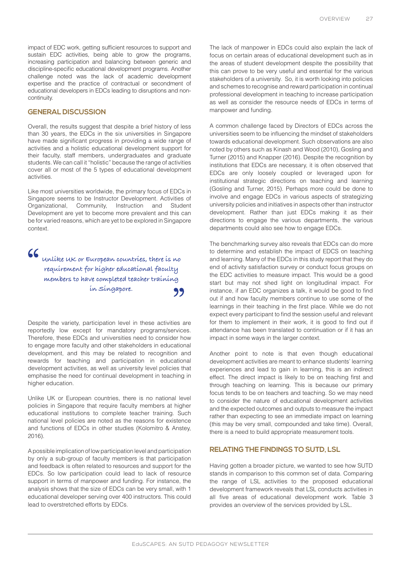impact of EDC work, getting sufficient resources to support and sustain EDC activities, being able to grow the programs, increasing participation and balancing between generic and discipline-specific educational development programs. Another challenge noted was the lack of academic development expertise and the practice of contractual or secondment of educational developers in EDCs leading to disruptions and noncontinuity.

### **GENERAL DISCUSSION**

Overall, the results suggest that despite a brief history of less than 30 years, the EDCs in the six universities in Singapore have made significant progress in providing a wide range of activities and a holistic educational development support for their faculty, staff members, undergraduates and graduate students. We can call it "holistic" because the range of activities cover all or most of the 5 types of educational development activities.

Like most universities worldwide, the primary focus of EDCs in Singapore seems to be Instructor Development. Activities of Organizational, Community, Instruction and Student Development are yet to become more prevalent and this can be for varied reasons, which are yet to be explored in Singapore context.

# 66

**Unlike UK or European countries, there is no requirement for higher educational faculty members to have completed teacher training in Singapore.** 99

Despite the variety, participation level in these activities are reportedly low except for mandatory programs/services. Therefore, these EDCs and universities need to consider how to engage more faculty and other stakeholders in educational development, and this may be related to recognition and rewards for teaching and participation in educational development activities, as well as university level policies that emphasise the need for continual development in teaching in higher education.

Unlike UK or European countries, there is no national level policies in Singapore that require faculty members at higher educational institutions to complete teacher training. Such national level policies are noted as the reasons for existence and functions of EDCs in other studies (Kolomitro & Anstey, 2016).

A possible implication of low participation level and participation by only a sub-group of faculty members is that participation and feedback is often related to resources and support for the EDCs. So low participation could lead to lack of resource support in terms of manpower and funding. For instance, the analysis shows that the size of EDCs can be very small, with 1 educational developer serving over 400 instructors. This could lead to overstretched efforts by EDCs.

The lack of manpower in EDCs could also explain the lack of focus on certain areas of educational development such as in the areas of student development despite the possibility that this can prove to be very useful and essential for the various stakeholders of a university. So, it is worth looking into policies and schemes to recognise and reward participation in continual professional development in teaching to increase participation as well as consider the resource needs of EDCs in terms of manpower and funding.

A common challenge faced by Directors of EDCs across the universities seem to be influencing the mindset of stakeholders towards educational development. Such observations are also noted by others such as Kinash and Wood (2010), Gosling and Turner (2015) and Knapper (2016). Despite the recognition by institutions that EDCs are necessary, it is often observed that EDCs are only loosely coupled or leveraged upon for institutional strategic directions on teaching and learning (Gosling and Turner, 2015). Perhaps more could be done to involve and engage EDCs in various aspects of strategizing university policies and initiatives in aspects other than instructor development. Rather than just EDCs making it as their directions to engage the various departments, the various departments could also see how to engage EDCs.

The benchmarking survey also reveals that EDCs can do more to determine and establish the impact of EDCS on teaching and learning. Many of the EDCs in this study report that they do end of activity satisfaction survey or conduct focus groups on the EDC activities to measure impact. This would be a good start but may not shed light on longitudinal impact. For instance, if an EDC organizes a talk, it would be good to find out if and how faculty members continue to use some of the learnings in their teaching in the first place. While we do not expect every participant to find the session useful and relevant for them to implement in their work, it is good to find out if attendance has been translated to continuation or if it has an impact in some ways in the larger context.

Another point to note is that even though educational development activities are meant to enhance students' learning experiences and lead to gain in learning, this is an indirect effect. The direct impact is likely to be on teaching first and through teaching on learning. This is because our primary focus tends to be on teachers and teaching. So we may need to consider the nature of educational development activities and the expected outcomes and outputs to measure the impact rather than expecting to see an immediate impact on learning (this may be very small, compounded and take time). Overall, there is a need to build appropriate measurement tools.

## **RELATING THE FINDINGS TO SUTD, LSL**

Having gotten a broader picture, we wanted to see how SUTD stands in comparison to this common set of data. Comparing the range of LSL activities to the proposed educational development framework reveals that LSL conducts activities in all five areas of educational development work. Table 3 provides an overview of the services provided by LSL.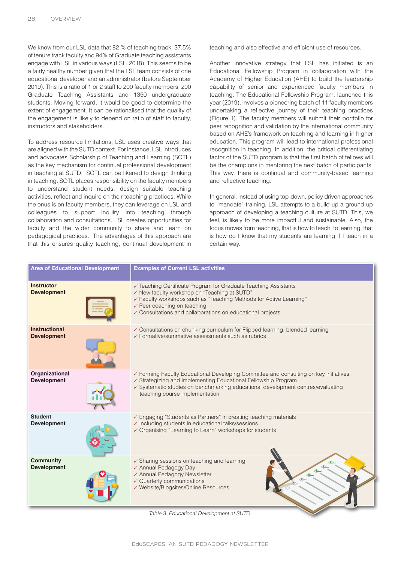We know from our LSL data that 82 % of teaching track, 37.5% of tenure track faculty and 94% of Graduate teaching assistants engage with LSL in various ways (LSL, 2018). This seems to be a fairly healthy number given that the LSL team consists of one educational developer and an administrator (before September 2019). This is a ratio of 1 or 2 staff to 200 faculty members, 200 Graduate Teaching Assistants and 1350 undergraduate students. Moving forward, it would be good to determine the extent of engagement. It can be rationalised that the quality of the engagement is likely to depend on ratio of staff to faculty, instructors and stakeholders.

To address resource limitations, LSL uses creative ways that are aligned with the SUTD context. For instance, LSL introduces and advocates Scholarship of Teaching and Learning (SOTL) as the key mechanism for continual professional development in teaching at SUTD. SOTL can be likened to design thinking in teaching. SOTL places responsibility on the faculty members to understand student needs, design suitable teaching activities, reflect and inquire on their teaching practices. While the onus is on faculty members, they can leverage on LSL and colleagues to support inquiry into teaching through collaboration and consultations. LSL creates opportunities for faculty and the wider community to share and learn on pedagogical practices. The advantages of this approach are that this ensures quality teaching, continual development in teaching and also effective and efficient use of resources.

Another innovative strategy that LSL has initiated is an Educational Fellowship Program in collaboration with the Academy of Higher Education (AHE) to build the leadership capability of senior and experienced faculty members in teaching. The Educational Fellowship Program, launched this year (2019), involves a pioneering batch of 11 faculty members undertaking a reflective journey of their teaching practices (Figure 1). The faculty members will submit their portfolio for peer recognition and validation by the international community based on AHE's framework on teaching and learning in higher education. This program will lead to international professional recognition in teaching. In addition, the critical differentiating factor of the SUTD program is that the first batch of fellows will be the champions in mentoring the next batch of participants. This way, there is continual and community-based learning and reflective teaching.

In general, instead of using top-down, policy driven approaches to "mandate" training, LSL attempts to a build up a ground up approach of developing a teaching culture at SUTD. This, we feel, is likely to be more impactful and sustainable. Also, the focus moves from teaching, that is how to teach, to learning, that is how do I know that my students are learning if I teach in a certain way.

| <b>Area of Educational Development</b>     | <b>Examples of Current LSL activities</b>                                                                                                                                                                                                                                                     |  |
|--------------------------------------------|-----------------------------------------------------------------------------------------------------------------------------------------------------------------------------------------------------------------------------------------------------------------------------------------------|--|
| <b>Instructor</b><br><b>Development</b>    | ✓ Teaching Certificate Program for Graduate Teaching Assistants<br>✓ New faculty workshop on "Teaching at SUTD"<br>✓ Faculty workshops such as "Teaching Methods for Active Learning"<br>$\checkmark$ Peer coaching on teaching<br>✓ Consultations and collaborations on educational projects |  |
| <b>Instructional</b><br><b>Development</b> | ✓ Consultations on chunking curriculum for Flipped learning, blended learning<br>$\checkmark$ Formative/summative assessments such as rubrics                                                                                                                                                 |  |
| Organizational<br><b>Development</b>       | ✓ Forming Faculty Educational Developing Committee and consulting on key initiatives<br>✓ Strategizing and implementing Educational Fellowship Program<br>✓ Systematic studies on benchmarking educational development centres/evaluating<br>teaching course implementation                   |  |
| <b>Student</b><br><b>Development</b>       | ✓ Engaging "Students as Partners" in creating teaching materials<br>$\checkmark$ Including students in educational talks/sessions<br>√ Organising "Learning to Learn" workshops for students                                                                                                  |  |
| <b>Community</b><br><b>Development</b>     | $\checkmark$ Sharing sessions on teaching and learning<br>✓ Annual Pedagogy Day<br>✓ Annual Pedagogy Newsletter<br>$\checkmark$ Quarterly communications<br>√ Website/Blogsites/Online Resources                                                                                              |  |

Table 3: Educational Development at SUTD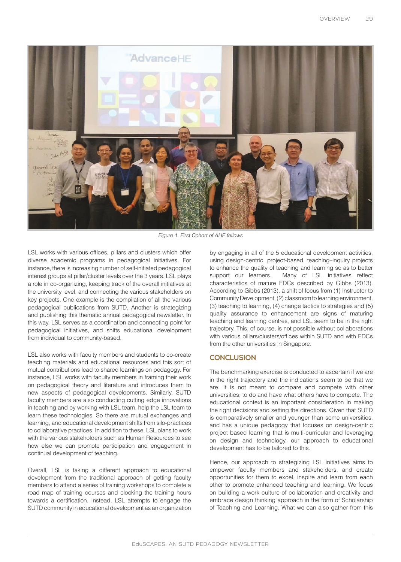

Figure 1. First Cohort of AHE fellows

LSL works with various offices, pillars and clusters which offer diverse academic programs in pedagogical initiatives. For instance, there is increasing number of self-initiated pedagogical interest groups at pillar/cluster levels over the 3 years. LSL plays a role in co-organizing, keeping track of the overall initiatives at the university level, and connecting the various stakeholders on key projects. One example is the compilation of all the various pedagogical publications from SUTD. Another is strategizing and publishing this thematic annual pedagogical newsletter. In this way, LSL serves as a coordination and connecting point for pedagogical initiatives, and shifts educational development from individual to community-based.

LSL also works with faculty members and students to co-create teaching materials and educational resources and this sort of mutual contributions lead to shared learnings on pedagogy. For instance, LSL works with faculty members in framing their work on pedagogical theory and literature and introduces them to new aspects of pedagogical developments. Similarly, SUTD faculty members are also conducting cutting edge innovations in teaching and by working with LSL team, help the LSL team to learn these technologies. So there are mutual exchanges and learning, and educational development shifts from silo-practices to collaborative practices. In addition to these, LSL plans to work with the various stakeholders such as Human Resources to see how else we can promote participation and engagement in continual development of teaching.

Overall, LSL is taking a different approach to educational development from the traditional approach of getting faculty members to attend a series of training workshops to complete a road map of training courses and clocking the training hours towards a certification. Instead, LSL attempts to engage the SUTD community in educational development as an organization by engaging in all of the 5 educational development activities, using design-centric, project-based, teaching–inquiry projects to enhance the quality of teaching and learning so as to better support our learners. Many of LSL initiatives reflect characteristics of mature EDCs described by Gibbs (2013). According to Gibbs (2013), a shift of focus from (1) Instructor to Community Development, (2) classroom to learning environment, (3) teaching to learning, (4) change tactics to strategies and (5) quality assurance to enhancement are signs of maturing teaching and learning centres, and LSL seem to be in the right trajectory. This, of course, is not possible without collaborations with various pillars/clusters/offices within SUTD and with EDCs from the other universities in Singapore.

## **CONCLUSION**

The benchmarking exercise is conducted to ascertain if we are in the right trajectory and the indications seem to be that we are. It is not meant to compare and compete with other universities; to do and have what others have to compete. The educational context is an important consideration in making the right decisions and setting the directions. Given that SUTD is comparatively smaller and younger than some universities, and has a unique pedagogy that focuses on design-centric project based learning that is multi-curricular and leveraging on design and technology, our approach to educational development has to be tailored to this.

Hence, our approach to strategizing LSL initiatives aims to empower faculty members and stakeholders, and create opportunities for them to excel, inspire and learn from each other to promote enhanced teaching and learning. We focus on building a work culture of collaboration and creativity and embrace design thinking approach in the form of Scholarship of Teaching and Learning. What we can also gather from this